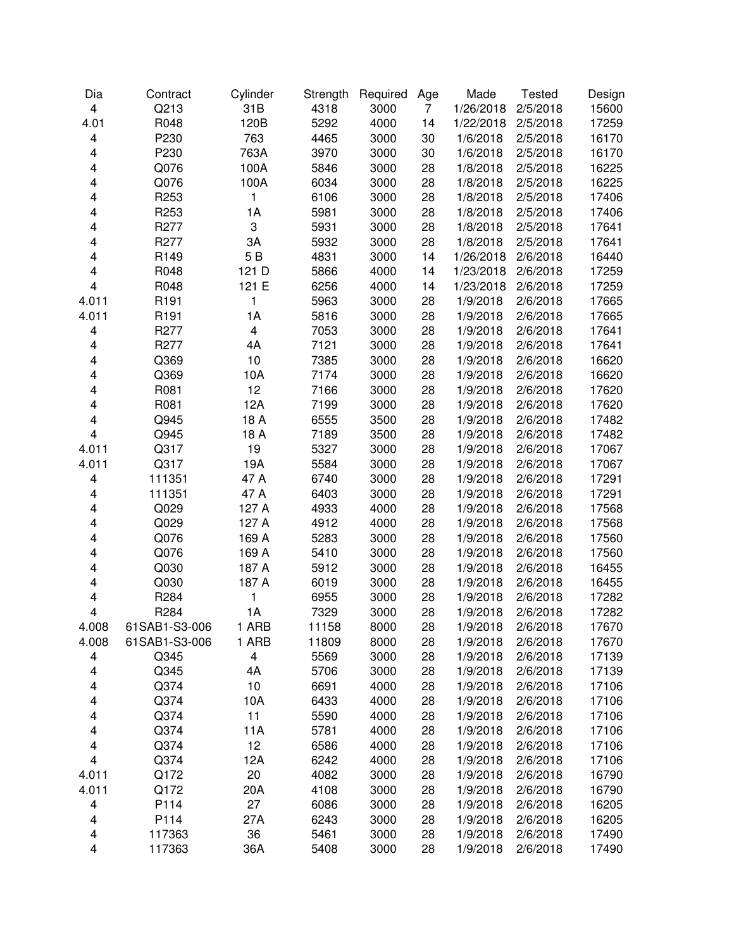| Dia                     | Contract      | Cylinder                | Strength | Required | Age            | Made      | <b>Tested</b> | Design |
|-------------------------|---------------|-------------------------|----------|----------|----------------|-----------|---------------|--------|
| 4                       | Q213          | 31B                     | 4318     | 3000     | $\overline{7}$ | 1/26/2018 | 2/5/2018      | 15600  |
| 4.01                    | R048          | 120B                    | 5292     | 4000     | 14             | 1/22/2018 | 2/5/2018      | 17259  |
| $\overline{\mathbf{4}}$ | P230          | 763                     | 4465     | 3000     | 30             | 1/6/2018  | 2/5/2018      | 16170  |
| 4                       | P230          | 763A                    | 3970     | 3000     | 30             | 1/6/2018  | 2/5/2018      | 16170  |
| $\overline{\mathbf{4}}$ | Q076          | 100A                    | 5846     | 3000     | 28             | 1/8/2018  | 2/5/2018      | 16225  |
| 4                       | Q076          | 100A                    | 6034     | 3000     | 28             | 1/8/2018  | 2/5/2018      | 16225  |
| 4                       | R253          | 1                       | 6106     | 3000     | 28             | 1/8/2018  | 2/5/2018      | 17406  |
| 4                       | R253          | 1A                      | 5981     | 3000     | 28             | 1/8/2018  | 2/5/2018      | 17406  |
| 4                       | R277          | 3                       | 5931     | 3000     | 28             | 1/8/2018  | 2/5/2018      | 17641  |
| 4                       | R277          | 3A                      | 5932     | 3000     | 28             | 1/8/2018  | 2/5/2018      | 17641  |
| 4                       | R149          | 5B                      | 4831     | 3000     | 14             | 1/26/2018 | 2/6/2018      | 16440  |
| 4                       | R048          | 121 D                   | 5866     | 4000     | 14             | 1/23/2018 | 2/6/2018      | 17259  |
| $\overline{\mathbf{4}}$ | R048          | 121 E                   | 6256     | 4000     | 14             | 1/23/2018 | 2/6/2018      | 17259  |
| 4.011                   | R191          | 1                       | 5963     | 3000     | 28             | 1/9/2018  | 2/6/2018      | 17665  |
| 4.011                   | R191          | 1A                      | 5816     | 3000     | 28             | 1/9/2018  | 2/6/2018      | 17665  |
| 4                       | R277          | $\overline{\mathbf{4}}$ | 7053     | 3000     | 28             | 1/9/2018  | 2/6/2018      | 17641  |
| $\overline{\mathbf{4}}$ | R277          | 4A                      | 7121     | 3000     | 28             | 1/9/2018  | 2/6/2018      | 17641  |
| 4                       | Q369          | 10                      | 7385     | 3000     | 28             | 1/9/2018  | 2/6/2018      | 16620  |
| 4                       | Q369          | 10A                     | 7174     | 3000     | 28             | 1/9/2018  | 2/6/2018      | 16620  |
| 4                       | R081          | 12                      | 7166     | 3000     | 28             | 1/9/2018  | 2/6/2018      | 17620  |
| 4                       | R081          | 12A                     | 7199     | 3000     | 28             | 1/9/2018  | 2/6/2018      | 17620  |
| $\overline{\mathbf{4}}$ | Q945          | 18 A                    | 6555     | 3500     | 28             | 1/9/2018  | 2/6/2018      | 17482  |
| $\overline{4}$          | Q945          | 18 A                    | 7189     | 3500     | 28             | 1/9/2018  | 2/6/2018      | 17482  |
| 4.011                   | Q317          | 19                      | 5327     | 3000     | 28             | 1/9/2018  | 2/6/2018      | 17067  |
| 4.011                   | Q317          | 19A                     | 5584     | 3000     | 28             | 1/9/2018  | 2/6/2018      | 17067  |
| 4                       | 111351        | 47 A                    | 6740     | 3000     | 28             | 1/9/2018  | 2/6/2018      | 17291  |
| 4                       | 111351        | 47 A                    | 6403     | 3000     | 28             | 1/9/2018  | 2/6/2018      | 17291  |
| 4                       | Q029          | 127 A                   | 4933     | 4000     | 28             | 1/9/2018  | 2/6/2018      | 17568  |
| 4                       | Q029          | 127 A                   | 4912     | 4000     | 28             | 1/9/2018  | 2/6/2018      | 17568  |
| 4                       | Q076          | 169 A                   | 5283     | 3000     | 28             | 1/9/2018  | 2/6/2018      | 17560  |
| 4                       | Q076          | 169 A                   | 5410     | 3000     | 28             | 1/9/2018  | 2/6/2018      | 17560  |
| 4                       | Q030          | 187 A                   | 5912     | 3000     | 28             | 1/9/2018  | 2/6/2018      | 16455  |
| 4                       | Q030          | 187 A                   | 6019     | 3000     | 28             | 1/9/2018  | 2/6/2018      | 16455  |
| 4                       | R284          | 1                       | 6955     | 3000     | 28             | 1/9/2018  | 2/6/2018      | 17282  |
| $\overline{\mathbf{4}}$ | R284          | 1A                      | 7329     | 3000     | 28             | 1/9/2018  | 2/6/2018      | 17282  |
| 4.008                   | 61SAB1-S3-006 | 1 ARB                   | 11158    | 8000     | 28             | 1/9/2018  | 2/6/2018      | 17670  |
| 4.008                   | 61SAB1-S3-006 | 1 ARB                   | 11809    | 8000     | 28             | 1/9/2018  | 2/6/2018      | 17670  |
| 4                       | Q345          | $\overline{\mathbf{4}}$ | 5569     | 3000     | 28             | 1/9/2018  | 2/6/2018      | 17139  |
| $\overline{\mathbf{4}}$ | Q345          | 4A                      | 5706     | 3000     | 28             | 1/9/2018  | 2/6/2018      | 17139  |
| $\overline{\mathbf{4}}$ | Q374          | 10                      | 6691     | 4000     | 28             | 1/9/2018  | 2/6/2018      | 17106  |
| 4                       | Q374          | 10A                     | 6433     | 4000     | 28             | 1/9/2018  | 2/6/2018      | 17106  |
| 4                       | Q374          | 11                      | 5590     | 4000     | 28             | 1/9/2018  | 2/6/2018      | 17106  |
| 4                       | Q374          | 11A                     | 5781     | 4000     | 28             | 1/9/2018  | 2/6/2018      | 17106  |
| 4                       | Q374          | 12                      | 6586     | 4000     | 28             | 1/9/2018  | 2/6/2018      | 17106  |
| 4                       | Q374          | 12A                     | 6242     | 4000     | 28             | 1/9/2018  | 2/6/2018      | 17106  |
| 4.011                   | Q172          | 20                      | 4082     | 3000     | 28             | 1/9/2018  | 2/6/2018      | 16790  |
| 4.011                   | Q172          | 20A                     | 4108     | 3000     | 28             | 1/9/2018  | 2/6/2018      | 16790  |
| 4                       | P114          | 27                      | 6086     | 3000     | 28             | 1/9/2018  | 2/6/2018      | 16205  |
| 4                       | P114          | 27A                     | 6243     | 3000     | 28             | 1/9/2018  | 2/6/2018      | 16205  |
| $\overline{\mathbf{4}}$ | 117363        | 36                      | 5461     | 3000     | 28             | 1/9/2018  | 2/6/2018      | 17490  |
| 4                       | 117363        | 36A                     | 5408     | 3000     | 28             | 1/9/2018  | 2/6/2018      | 17490  |
|                         |               |                         |          |          |                |           |               |        |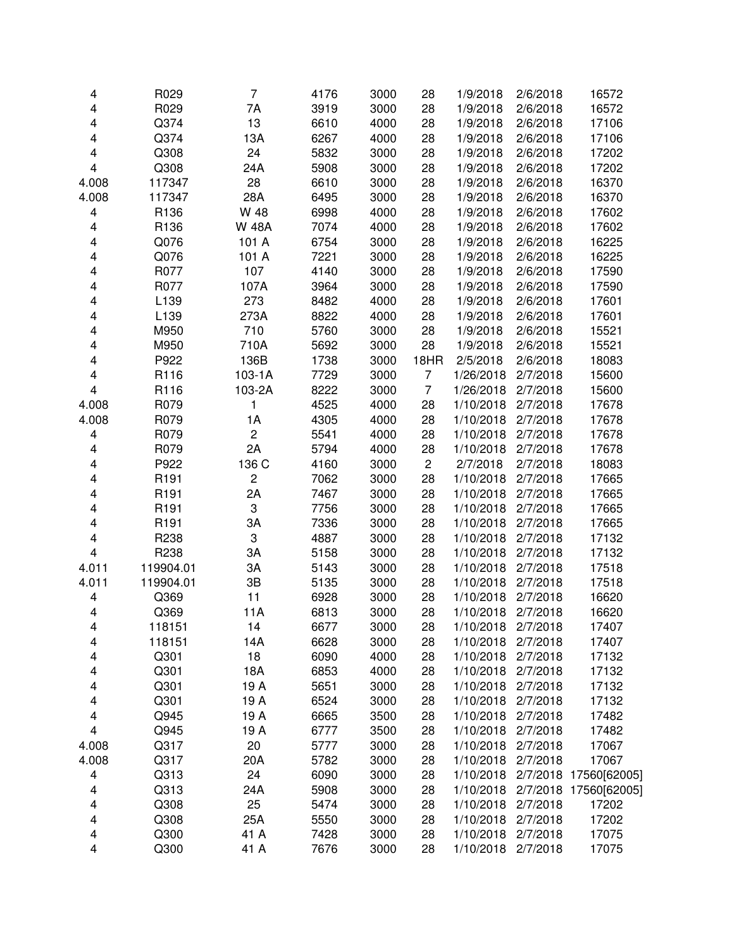| 4                       | R029      | $\overline{7}$ | 4176 | 3000 | 28             | 1/9/2018  | 2/6/2018 | 16572                 |
|-------------------------|-----------|----------------|------|------|----------------|-----------|----------|-----------------------|
| 4                       | R029      | 7A             | 3919 | 3000 | 28             | 1/9/2018  | 2/6/2018 | 16572                 |
| 4                       | Q374      | 13             | 6610 | 4000 | 28             | 1/9/2018  | 2/6/2018 | 17106                 |
| 4                       | Q374      | 13A            | 6267 | 4000 | 28             | 1/9/2018  | 2/6/2018 | 17106                 |
| 4                       | Q308      | 24             | 5832 | 3000 | 28             | 1/9/2018  | 2/6/2018 | 17202                 |
| 4                       | Q308      | 24A            | 5908 | 3000 | 28             | 1/9/2018  | 2/6/2018 | 17202                 |
| 4.008                   | 117347    | 28             | 6610 | 3000 | 28             | 1/9/2018  | 2/6/2018 | 16370                 |
| 4.008                   | 117347    | 28A            | 6495 | 3000 | 28             | 1/9/2018  | 2/6/2018 | 16370                 |
| 4                       | R136      | W 48           | 6998 | 4000 | 28             | 1/9/2018  | 2/6/2018 | 17602                 |
| 4                       | R136      | <b>W 48A</b>   | 7074 | 4000 | 28             | 1/9/2018  | 2/6/2018 | 17602                 |
| 4                       | Q076      | 101 A          | 6754 | 3000 | 28             | 1/9/2018  | 2/6/2018 | 16225                 |
| 4                       | Q076      | 101 A          | 7221 | 3000 | 28             | 1/9/2018  | 2/6/2018 | 16225                 |
| 4                       | R077      | 107            | 4140 | 3000 | 28             | 1/9/2018  | 2/6/2018 | 17590                 |
| 4                       | R077      | 107A           | 3964 | 3000 | 28             | 1/9/2018  | 2/6/2018 | 17590                 |
| 4                       | L139      | 273            | 8482 | 4000 | 28             | 1/9/2018  | 2/6/2018 | 17601                 |
| 4                       | L139      | 273A           | 8822 | 4000 | 28             | 1/9/2018  | 2/6/2018 | 17601                 |
| 4                       | M950      | 710            | 5760 | 3000 | 28             | 1/9/2018  | 2/6/2018 | 15521                 |
| 4                       | M950      | 710A           | 5692 | 3000 | 28             | 1/9/2018  | 2/6/2018 | 15521                 |
| 4                       | P922      | 136B           | 1738 | 3000 | 18HR           | 2/5/2018  | 2/6/2018 | 18083                 |
| 4                       | R116      | $103-1A$       | 7729 | 3000 | 7              | 1/26/2018 | 2/7/2018 | 15600                 |
| 4                       | R116      | 103-2A         | 8222 | 3000 | $\overline{7}$ | 1/26/2018 | 2/7/2018 | 15600                 |
| 4.008                   | R079      | 1              | 4525 | 4000 | 28             | 1/10/2018 | 2/7/2018 | 17678                 |
| 4.008                   | R079      | 1A             | 4305 | 4000 | 28             | 1/10/2018 | 2/7/2018 | 17678                 |
| 4                       | R079      | $\overline{c}$ | 5541 | 4000 | 28             | 1/10/2018 | 2/7/2018 | 17678                 |
| 4                       | R079      | 2A             | 5794 | 4000 | 28             | 1/10/2018 | 2/7/2018 | 17678                 |
| 4                       | P922      | 136 C          | 4160 | 3000 | $\overline{2}$ | 2/7/2018  | 2/7/2018 | 18083                 |
| 4                       | R191      | $\overline{c}$ | 7062 | 3000 | 28             | 1/10/2018 | 2/7/2018 | 17665                 |
| 4                       | R191      | 2A             | 7467 | 3000 | 28             | 1/10/2018 | 2/7/2018 | 17665                 |
| 4                       | R191      | 3              | 7756 | 3000 | 28             | 1/10/2018 | 2/7/2018 | 17665                 |
| 4                       | R191      | 3A             | 7336 | 3000 | 28             | 1/10/2018 | 2/7/2018 | 17665                 |
| 4                       | R238      | 3              | 4887 | 3000 | 28             | 1/10/2018 | 2/7/2018 | 17132                 |
| $\overline{\mathbf{4}}$ | R238      | 3A             | 5158 | 3000 | 28             | 1/10/2018 | 2/7/2018 | 17132                 |
| 4.011                   | 119904.01 | 3A             | 5143 | 3000 | 28             | 1/10/2018 | 2/7/2018 | 17518                 |
| 4.011                   | 119904.01 | 3B             | 5135 | 3000 | 28             | 1/10/2018 | 2/7/2018 | 17518                 |
| 4                       | Q369      | 11             | 6928 | 3000 | 28             | 1/10/2018 | 2/7/2018 | 16620                 |
| 4                       | Q369      | 11A            | 6813 | 3000 | 28             | 1/10/2018 | 2/7/2018 | 16620                 |
| 4                       | 118151    | 14             | 6677 | 3000 | 28             | 1/10/2018 | 2/7/2018 | 17407                 |
| 4                       | 118151    | 14A            | 6628 | 3000 | 28             | 1/10/2018 | 2/7/2018 | 17407                 |
| 4                       | Q301      | 18             | 6090 | 4000 | 28             | 1/10/2018 | 2/7/2018 | 17132                 |
| 4                       | Q301      | 18A            | 6853 | 4000 | 28             | 1/10/2018 | 2/7/2018 | 17132                 |
| 4                       | Q301      | 19 A           | 5651 | 3000 | 28             | 1/10/2018 | 2/7/2018 | 17132                 |
| 4                       | Q301      | 19 A           | 6524 | 3000 | 28             | 1/10/2018 | 2/7/2018 | 17132                 |
| 4                       | Q945      | 19 A           | 6665 | 3500 | 28             | 1/10/2018 | 2/7/2018 | 17482                 |
| 4                       | Q945      | 19 A           | 6777 | 3500 | 28             | 1/10/2018 | 2/7/2018 | 17482                 |
| 4.008                   | Q317      | 20             | 5777 | 3000 | 28             | 1/10/2018 | 2/7/2018 | 17067                 |
| 4.008                   | Q317      | 20A            | 5782 | 3000 | 28             | 1/10/2018 | 2/7/2018 | 17067                 |
| 4                       | Q313      | 24             | 6090 | 3000 | 28             | 1/10/2018 |          | 2/7/2018 17560[62005] |
| 4                       | Q313      | 24A            | 5908 | 3000 | 28             | 1/10/2018 |          | 2/7/2018 17560[62005] |
| 4                       | Q308      | 25             | 5474 | 3000 | 28             | 1/10/2018 | 2/7/2018 | 17202                 |
| 4                       | Q308      | 25A            | 5550 | 3000 | 28             | 1/10/2018 | 2/7/2018 | 17202                 |
| 4                       | Q300      | 41 A           | 7428 | 3000 | 28             | 1/10/2018 | 2/7/2018 | 17075                 |
| 4                       | Q300      | 41 A           | 7676 | 3000 | 28             | 1/10/2018 | 2/7/2018 | 17075                 |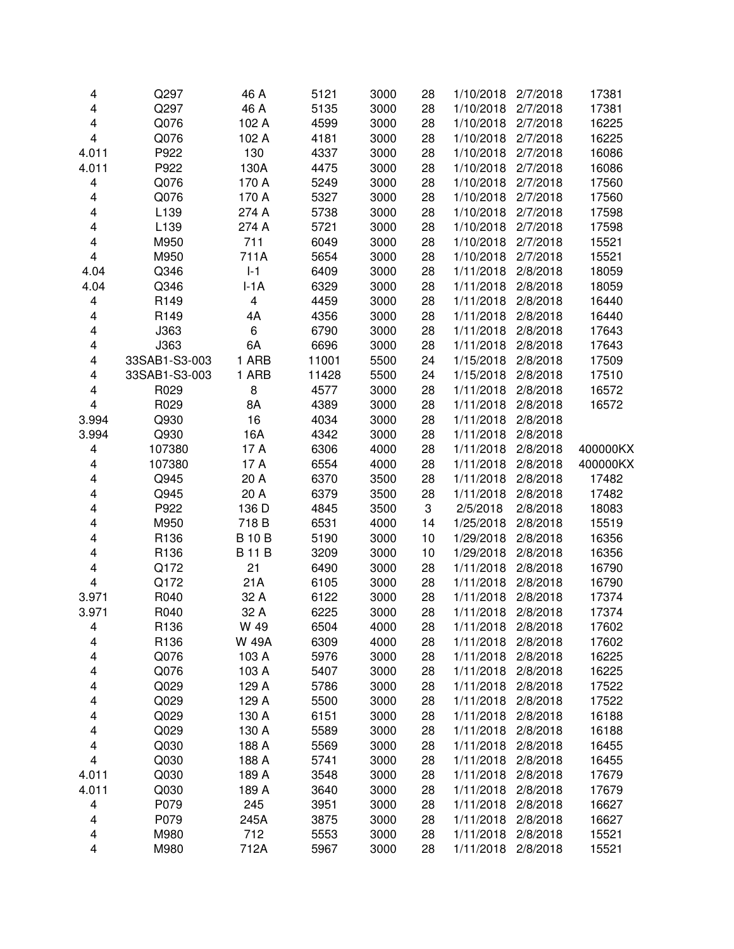| 4                       | Q297             | 46 A           | 5121  | 3000 | 28 | 1/10/2018 | 2/7/2018 | 17381    |
|-------------------------|------------------|----------------|-------|------|----|-----------|----------|----------|
| 4                       | Q297             | 46 A           | 5135  | 3000 | 28 | 1/10/2018 | 2/7/2018 | 17381    |
| 4                       | Q076             | 102 A          | 4599  | 3000 | 28 | 1/10/2018 | 2/7/2018 | 16225    |
| 4                       | Q076             | 102 A          | 4181  | 3000 | 28 | 1/10/2018 | 2/7/2018 | 16225    |
| 4.011                   | P922             | 130            | 4337  | 3000 | 28 | 1/10/2018 | 2/7/2018 | 16086    |
| 4.011                   | P922             | 130A           | 4475  | 3000 | 28 | 1/10/2018 | 2/7/2018 | 16086    |
| 4                       | Q076             | 170 A          | 5249  | 3000 | 28 | 1/10/2018 | 2/7/2018 | 17560    |
| 4                       | Q076             | 170 A          | 5327  | 3000 | 28 | 1/10/2018 | 2/7/2018 | 17560    |
| 4                       | L <sub>139</sub> | 274 A          | 5738  | 3000 | 28 | 1/10/2018 | 2/7/2018 | 17598    |
| 4                       | L139             | 274 A          | 5721  | 3000 | 28 | 1/10/2018 | 2/7/2018 | 17598    |
| 4                       | M950             | 711            | 6049  | 3000 | 28 | 1/10/2018 | 2/7/2018 | 15521    |
| 4                       | M950             | 711A           | 5654  | 3000 | 28 | 1/10/2018 | 2/7/2018 | 15521    |
| 4.04                    | Q346             | $ -1$          | 6409  | 3000 | 28 | 1/11/2018 | 2/8/2018 | 18059    |
| 4.04                    | Q346             | $I-1A$         | 6329  | 3000 | 28 | 1/11/2018 | 2/8/2018 | 18059    |
| 4                       | R149             | $\overline{4}$ | 4459  | 3000 | 28 | 1/11/2018 | 2/8/2018 | 16440    |
| 4                       | R149             | 4A             | 4356  | 3000 | 28 | 1/11/2018 | 2/8/2018 | 16440    |
| 4                       | J363             | 6              | 6790  | 3000 | 28 | 1/11/2018 | 2/8/2018 | 17643    |
| 4                       | J363             | 6A             | 6696  | 3000 | 28 | 1/11/2018 | 2/8/2018 | 17643    |
| $\overline{\mathbf{4}}$ | 33SAB1-S3-003    | 1 ARB          | 11001 | 5500 | 24 | 1/15/2018 | 2/8/2018 | 17509    |
| 4                       | 33SAB1-S3-003    | 1 ARB          | 11428 | 5500 | 24 | 1/15/2018 | 2/8/2018 | 17510    |
| 4                       | R029             | 8              | 4577  | 3000 | 28 | 1/11/2018 | 2/8/2018 | 16572    |
| $\overline{\mathbf{4}}$ | R029             | 8A             | 4389  | 3000 | 28 | 1/11/2018 | 2/8/2018 | 16572    |
| 3.994                   | Q930             | 16             | 4034  | 3000 | 28 | 1/11/2018 | 2/8/2018 |          |
| 3.994                   | Q930             | 16A            | 4342  | 3000 | 28 | 1/11/2018 | 2/8/2018 |          |
| 4                       | 107380           | 17 A           | 6306  | 4000 | 28 | 1/11/2018 | 2/8/2018 | 400000KX |
| 4                       | 107380           | 17 A           | 6554  | 4000 | 28 | 1/11/2018 | 2/8/2018 | 400000KX |
| 4                       | Q945             | 20 A           | 6370  | 3500 | 28 | 1/11/2018 | 2/8/2018 | 17482    |
| 4                       | Q945             | 20 A           | 6379  | 3500 | 28 | 1/11/2018 | 2/8/2018 | 17482    |
| 4                       | P922             | 136 D          | 4845  | 3500 | 3  | 2/5/2018  | 2/8/2018 | 18083    |
| 4                       | M950             | 718 B          | 6531  | 4000 | 14 | 1/25/2018 | 2/8/2018 | 15519    |
| 4                       | R136             | <b>B10B</b>    | 5190  | 3000 | 10 | 1/29/2018 | 2/8/2018 | 16356    |
| 4                       | R136             | <b>B11B</b>    | 3209  | 3000 | 10 | 1/29/2018 | 2/8/2018 | 16356    |
| 4                       | Q172             | 21             | 6490  | 3000 | 28 | 1/11/2018 | 2/8/2018 | 16790    |
| 4                       | Q172             | 21A            | 6105  | 3000 | 28 | 1/11/2018 | 2/8/2018 | 16790    |
| 3.971                   | R040             | 32 A           | 6122  | 3000 | 28 | 1/11/2018 | 2/8/2018 | 17374    |
| 3.971                   | R040             | 32 A           | 6225  | 3000 | 28 | 1/11/2018 | 2/8/2018 | 17374    |
| 4                       | R136             | W 49           | 6504  | 4000 | 28 | 1/11/2018 | 2/8/2018 | 17602    |
| 4                       | R136             | <b>W 49A</b>   | 6309  | 4000 | 28 | 1/11/2018 | 2/8/2018 | 17602    |
| 4                       | Q076             | 103 A          | 5976  | 3000 | 28 | 1/11/2018 | 2/8/2018 | 16225    |
| 4                       | Q076             | 103 A          | 5407  | 3000 | 28 | 1/11/2018 | 2/8/2018 | 16225    |
| 4                       | Q029             | 129 A          | 5786  | 3000 | 28 | 1/11/2018 | 2/8/2018 | 17522    |
| 4                       | Q029             | 129 A          | 5500  | 3000 | 28 | 1/11/2018 | 2/8/2018 | 17522    |
| 4                       | Q029             | 130 A          | 6151  | 3000 | 28 | 1/11/2018 | 2/8/2018 | 16188    |
| 4                       | Q029             | 130 A          | 5589  | 3000 | 28 | 1/11/2018 | 2/8/2018 | 16188    |
| 4                       | Q030             | 188 A          | 5569  | 3000 | 28 | 1/11/2018 | 2/8/2018 | 16455    |
| 4                       | Q030             | 188 A          | 5741  | 3000 | 28 | 1/11/2018 | 2/8/2018 | 16455    |
| 4.011                   | Q030             | 189 A          | 3548  | 3000 | 28 | 1/11/2018 | 2/8/2018 | 17679    |
| 4.011                   | Q030             | 189 A          | 3640  | 3000 | 28 | 1/11/2018 | 2/8/2018 | 17679    |
| 4                       | P079             | 245            | 3951  | 3000 | 28 | 1/11/2018 | 2/8/2018 | 16627    |
| 4                       | P079             | 245A           | 3875  | 3000 | 28 | 1/11/2018 | 2/8/2018 | 16627    |
| 4                       | M980             | 712            | 5553  | 3000 | 28 | 1/11/2018 | 2/8/2018 | 15521    |
| 4                       | M980             | 712A           | 5967  | 3000 | 28 | 1/11/2018 | 2/8/2018 | 15521    |
|                         |                  |                |       |      |    |           |          |          |